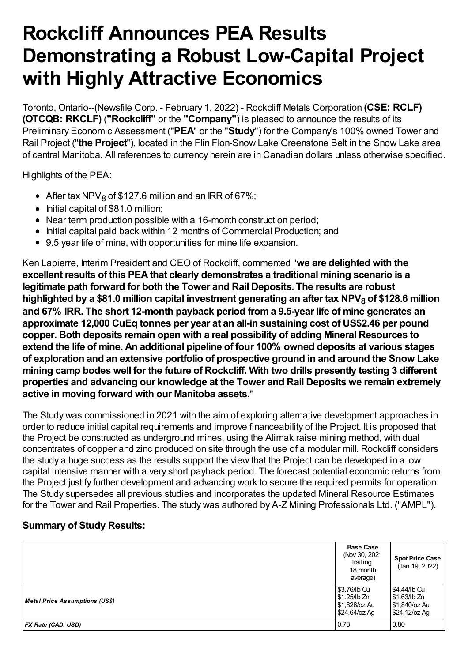# **Rockcliff Announces PEA Results Demonstrating a Robust Low-Capital Project with Highly Attractive Economics**

Toronto, Ontario--(Newsfile Corp. - February 1, 2022) - Rockcliff Metals Corporation **(CSE: RCLF) (OTCQB: RKCLF)** (**"Rockcliff"** or the **"Company"**) is pleased to announce the results of its Preliminary Economic Assessment ("**PEA**" or the "**Study**") for the Company's 100% owned Tower and Rail Project ("**the Project**"), located in the Flin Flon-Snow Lake Greenstone Belt in the Snow Lake area of central Manitoba. All references to currency herein are in Canadian dollars unless otherwise specified.

Highlights of the PEA:

- After tax NPV<sub>8</sub> of \$127.6 million and an IRR of 67%;
- Initial capital of \$81.0 million;
- Near term production possible with a 16-month construction period;
- Initial capital paid back within 12 months of Commercial Production; and
- 9.5 year life of mine, with opportunities for mine life expansion.

Ken Lapierre, Interim President and CEO of Rockcliff, commented "**we are delighted with the excellent results of this PEAthat clearly demonstrates a traditional mining scenario is a legitimate path forward for both the Tower and Rail Deposits. The results are robust highlighted by a \$81.0 million capital investment generating an after tax NPV8 of \$128.6 million and 67% IRR. The short 12-month payback period froma 9.5-year life of mine generates an approximate 12,000 CuEq tonnes per year at an all-in sustaining cost of US\$2.46 per pound copper. Both deposits remain open with a real possibility of adding Mineral Resources to extend the life of mine. An additional pipeline of four 100% owned deposits at various stages of exploration and an extensive portfolio of prospective ground in and around the Snow Lake mining camp bodes well for the future of Rockcliff. With two drills presently testing 3 different properties and advancing our knowledge at the Tower and Rail Deposits we remain extremely active in moving forward with our Manitoba assets.**"

The Study was commissioned in 2021 with the aim of exploring alternative development approaches in order to reduce initial capital requirements and improve financeability of the Project. It is proposed that the Project be constructed as underground mines, using the Alimak raise mining method, with dual concentrates of copper and zinc produced on site through the use of a modular mill. Rockcliff considers the study a huge success as the results support the view that the Project can be developed in a low capital intensive manner with a very short payback period. The forecast potential economic returns from the Project justify further development and advancing work to secure the required permits for operation. The Study supersedes all previous studies and incorporates the updated Mineral Resource Estimates for the Tower and Rail Properties. The study was authored by A-Z Mining Professionals Ltd. ("AMPL").

## **Summary of Study Results:**

|                                       | <b>Base Case</b><br>(Nov 30, 2021<br>trailing<br>18 month<br>average) | <b>Spot Price Case</b><br>(Jan 19, 2022)                         |
|---------------------------------------|-----------------------------------------------------------------------|------------------------------------------------------------------|
| <b>Metal Price Assumptions (US\$)</b> | \$3.76/lb Cu<br>$$1.25$ /lb Zn<br>\$1,828/oz Au<br>\$24.64/oz Ag      | \$4.44/lb Cu<br>$$1.63$ /lb Zn<br>\$1,840/oz Au<br>\$24.12/oz Ag |
| FX Rate (CAD: USD)                    | 0.78                                                                  | 0.80                                                             |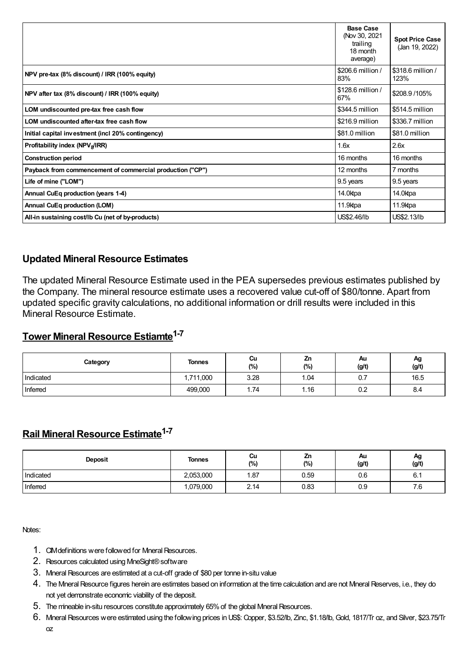|                                                           | <b>Base Case</b><br>(Nov 30, 2021<br>trailing<br>18 month<br>average) | <b>Spot Price Case</b><br>(Jan 19, 2022) |
|-----------------------------------------------------------|-----------------------------------------------------------------------|------------------------------------------|
| NPV pre-tax (8% discount) / IRR (100% equity)             | \$206.6 million /<br>83%                                              | \$318.6 million /<br>123%                |
| NPV after tax (8% discount) / IRR (100% equity)           | \$128.6 million /<br>67%                                              | \$208.9/105%                             |
| LOM undiscounted pre-tax free cash flow                   | \$344.5 million                                                       | \$514.5 million                          |
| LOM undiscounted after-tax free cash flow                 | \$216.9 million                                                       | \$336.7 million                          |
| Initial capital investment (incl 20% contingency)         | \$81.0 million                                                        | \$81.0 million                           |
| Profitability index (NPV <sub>8</sub> /IRR)               | 1.6x                                                                  | 2.6x                                     |
| <b>Construction period</b>                                | 16 months                                                             | 16 months                                |
| Payback from commencement of commercial production ("CP") | 12 months                                                             | 7 months                                 |
| Life of mine ("LOM")                                      | 9.5 years                                                             | 9.5 years                                |
| Annual CuEq production (years 1-4)                        | 14.0ktpa                                                              | 14.0ktpa                                 |
| <b>Annual CuEq production (LOM)</b>                       | 11.9ktpa                                                              | 11.9ktpa                                 |
| All-in sustaining cost/lb Cu (net of by-products)         | US\$2.46/lb                                                           | US\$2.13/lb                              |

#### **Updated Mineral Resource Estimates**

The updated Mineral Resource Estimate used in the PEA supersedes previous estimates published by the Company. The mineral resource estimate uses a recovered value cut-off of \$80/tonne. Apart from updated specific gravity calculations, no additional information or drill results were included in this Mineral Resource Estimate.

# **Tower Mineral Resource Estiamte 1-7**

| Category  | <b>Tonnes</b> | Cu<br>(%) | Zn<br>(%) | Au<br>(g/t) | Ag<br>(g/t) |
|-----------|---------------|-----------|-----------|-------------|-------------|
| Indicated | 1,711,000     | 3.28      | 1.04      | 0.7         | 16.5        |
| Inferred  | 499,000       | 74،،      | .16،      | 0.2         | 8.4         |

# **Rail Mineral Resource Estimate 1-7**

| <b>Deposit</b> | <b>Tonnes</b> | Cu<br>(%) | Zn<br>(%) | Au<br>(g/t) | Αg<br>(g/t) |
|----------------|---------------|-----------|-----------|-------------|-------------|
| Indicated      | 2,053,000     | 1.87      | 0.59      | 0.6         | 6.1         |
| Inferred       | 1,079,000     | 2.14      | 0.83      | 0.9         | 7.6         |

Notes:

- 1. CIM definitions were followed for Mineral Resources.
- 2. Resources calculated using MineSight®software
- 3. Mineral Resources are estimated at a cut-off grade of \$80 per tonne in-situ value
- 4. The Mneral Resource figures herein are estimates based on information at the time calculation and are not Mneral Reserves, i.e., they do not yet demonstrate economic viability of the deposit.
- 5. The mineable in-situ resources constitute approximately 65% of the global Mineral Resources.
- 6. MineralResources were estimated using the following prices inUS\$: Copper, \$3.52/lb, Zinc, \$1.18/lb, Gold, 1817/Tr oz, and Silver, \$23.75/Tr oz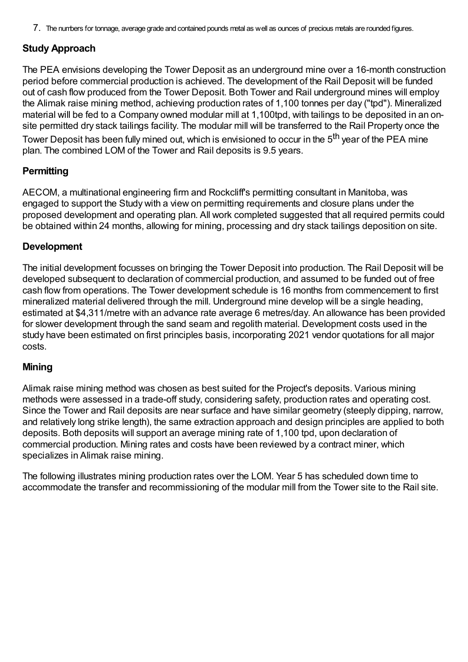7. The numbers for tonnage, average grade and contained pounds metal as well as ounces of precious metals are rounded figures.

### **Study Approach**

The PEA envisions developing the Tower Deposit as an underground mine over a 16-month construction period before commercial production is achieved. The development of the Rail Deposit will be funded out of cash flow produced from the Tower Deposit. Both Tower and Rail underground mines will employ the Alimak raise mining method, achieving production rates of 1,100 tonnes per day ("tpd"). Mineralized material will be fed to a Company owned modular mill at 1,100tpd, with tailings to be deposited in an onsite permitted dry stack tailings facility. The modular mill will be transferred to the Rail Property once the Tower Deposit has been fully mined out, which is envisioned to occur in the 5<sup>th</sup> year of the PEA mine plan. The combined LOM of the Tower and Rail deposits is 9.5 years.

#### **Permitting**

AECOM, a multinational engineering firm and Rockcliff's permitting consultant in Manitoba, was engaged to support the Study with a view on permitting requirements and closure plans under the proposed development and operating plan. All work completed suggested that all required permits could be obtained within 24 months, allowing for mining, processing and dry stack tailings deposition on site.

#### **Development**

The initial development focusses on bringing the Tower Deposit into production. The Rail Deposit will be developed subsequent to declaration of commercial production, and assumed to be funded out of free cash flow from operations. The Tower development schedule is 16 months from commencement to first mineralized material delivered through the mill. Underground mine develop will be a single heading, estimated at \$4,311/metre with an advance rate average 6 metres/day. An allowance has been provided for slower development through the sand seam and regolith material. Development costs used in the study have been estimated on first principles basis, incorporating 2021 vendor quotations for all major costs.

#### **Mining**

Alimak raise mining method was chosen as best suited for the Project's deposits. Various mining methods were assessed in a trade-off study, considering safety, production rates and operating cost. Since the Tower and Rail deposits are near surface and have similar geometry (steeply dipping, narrow, and relatively long strike length), the same extraction approach and design principles are applied to both deposits. Both deposits will support an average mining rate of 1,100 tpd, upon declaration of commercial production. Mining rates and costs have been reviewed by a contract miner, which specializes in Alimak raise mining.

The following illustrates mining production rates over the LOM. Year 5 has scheduled down time to accommodate the transfer and recommissioning of the modular mill from the Tower site to the Rail site.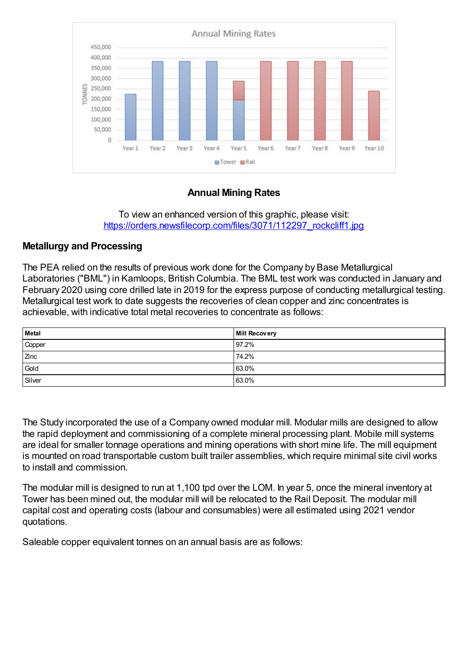

## **Annual Mining Rates**

To view an enhanced version of this graphic, please visit: [https://orders.newsfilecorp.com/files/3071/112297\\_rockcliff1.jpg](https://orders.newsfilecorp.com/files/3071/112297_rockcliff1.jpg)

#### **Metallurgy and Processing**

The PEA relied on the results of previous work done for the Company by Base Metallurgical Laboratories ("BML") in Kamloops, British Columbia. The BML test work was conducted in January and February 2020 using core drilled late in 2019 for the express purpose of conducting metallurgical testing. Metallurgical test work to date suggests the recoveries of clean copper and zinc concentrates is achievable, with indicative total metal recoveries to concentrate as follows:

| <b>Metal</b> | <b>Mill Recovery</b> |
|--------------|----------------------|
| Copper       | 97.2%                |
| Zinc         | 74.2%                |
| Gold         | 63.0%                |
| Silver       | 63.0%                |

The Study incorporated the use of a Company owned modular mill. Modular mills are designed to allow the rapid deployment and commissioning of a complete mineral processing plant. Mobile mill systems are ideal for smaller tonnage operations and mining operations with short mine life. The mill equipment is mounted on road transportable custom built trailer assemblies, which require minimal site civil works to install and commission.

The modular mill is designed to run at 1,100 tpd over the LOM. In year 5, once the mineral inventory at Tower has been mined out, the modular mill will be relocated to the Rail Deposit. The modular mill capital cost and operating costs (labour and consumables) were all estimated using 2021 vendor quotations.

Saleable copper equivalent tonnes on an annual basis are as follows: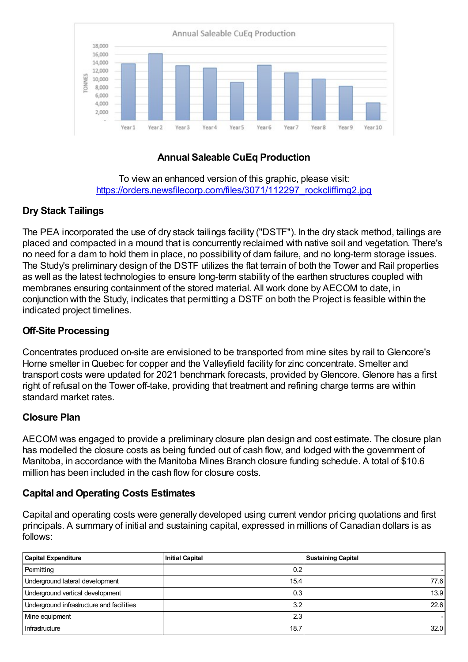

# **Annual Saleable CuEq Production**

To view an enhanced version of this graphic, please visit: [https://orders.newsfilecorp.com/files/3071/112297\\_rockcliffimg2.jpg](https://orders.newsfilecorp.com/files/3071/112297_rockcliffimg2.jpg)

# **Dry Stack Tailings**

The PEA incorporated the use of dry stack tailings facility ("DSTF"). In the dry stack method, tailings are placed and compacted in a mound that is concurrently reclaimed with native soil and vegetation. There's no need for a dam to hold them in place, no possibility of dam failure, and no long-term storage issues. The Study's preliminary design of the DSTF utilizes the flat terrain of both the Tower and Rail properties as well as the latest technologies to ensure long-term stability of the earthen structures coupled with membranes ensuring containment of the stored material. All work done by AECOM to date, in conjunction with the Study, indicates that permitting a DSTF on both the Project is feasible within the indicated project timelines.

## **Off-Site Processing**

Concentrates produced on-site are envisioned to be transported from mine sites by rail to Glencore's Horne smelter in Quebec for copper and the Valleyfield facility for zinc concentrate. Smelter and transport costs were updated for 2021 benchmark forecasts, provided byGlencore. Glenore has a first right of refusal on the Tower off-take, providing that treatment and refining charge terms are within standard market rates.

## **Closure Plan**

AECOM was engaged to provide a preliminary closure plan design and cost estimate. The closure plan has modelled the closure costs as being funded out of cash flow, and lodged with the government of Manitoba, in accordance with the Manitoba Mines Branch closure funding schedule. A total of \$10.6 million has been included in the cash flow for closure costs.

## **Capital and Operating Costs Estimates**

Capital and operating costs were generally developed using current vendor pricing quotations and first principals. A summary of initial and sustaining capital, expressed in millions of Canadian dollars is as follows:

| <b>Capital Expenditure</b>                | <b>Initial Capital</b> | <b>Sustaining Capital</b> |
|-------------------------------------------|------------------------|---------------------------|
| Permitting                                | 0.2                    |                           |
| Underground lateral development           | 15.4                   | 77.6                      |
| Underground vertical development          | 0.3                    | 13.9                      |
| Underground infrastructure and facilities | 3.2                    | 22.6                      |
| Mine equipment                            | 2.3                    |                           |
| Infrastructure                            | 18.7                   | 32.0                      |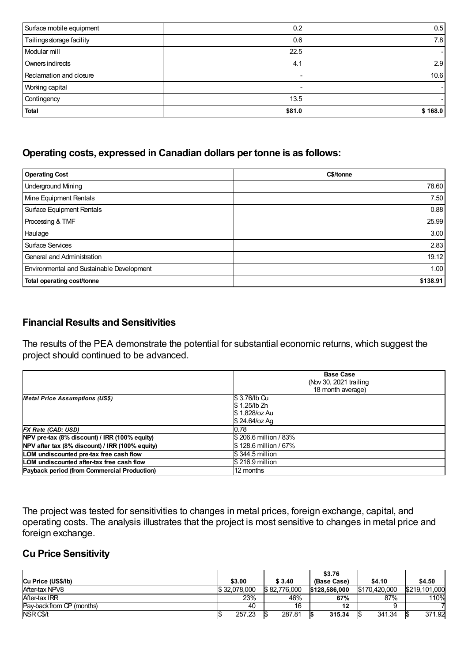| Surface mobile equipment  | 0.2    | 0.5     |
|---------------------------|--------|---------|
| Tailings storage facility | 0.6    | 7.8     |
| Modular mill              | 22.5   |         |
| Owners indirects          | 4.1    | 2.9     |
| Reclamation and closure   |        | 10.6    |
| Working capital           |        |         |
| Contingency               | 13.5   |         |
| <b>Total</b>              | \$81.0 | \$168.0 |

#### **Operating costs, expressed in Canadian dollars per tonne is as follows:**

| <b>Operating Cost</b>                     | C\$/tonne |
|-------------------------------------------|-----------|
| <b>Underground Mining</b>                 | 78.60     |
| Mine Equipment Rentals                    | 7.50      |
| Surface Equipment Rentals                 | 0.88      |
| Processing & TMF                          | 25.99     |
| Haulage                                   | 3.00      |
| Surface Services                          | 2.83      |
| General and Administration                | 19.12     |
| Environmental and Sustainable Development | 1.00      |
| Total operating cost/tonne                | \$138.91  |

#### **Financial Results and Sensitivities**

The results of the PEA demonstrate the potential for substantial economic returns, which suggest the project should continued to be advanced.

|                                                 | <b>Base Case</b><br>(Nov 30, 2021 trailing<br>18 month average) |  |  |  |
|-------------------------------------------------|-----------------------------------------------------------------|--|--|--|
| <b>Metal Price Assumptions (US\$)</b>           | \$3.76/lb Cu<br>\$1.25/lb Zn<br>\$1,828/oz Au<br>\$ 24.64/oz Ag |  |  |  |
| FX Rate (CAD: USD)                              | 0.78                                                            |  |  |  |
| NPV pre-tax (8% discount) / IRR (100% equity)   | \$206.6 million / 83%                                           |  |  |  |
| NPV after tax (8% discount) / IRR (100% equity) | \$128.6 million / 67%                                           |  |  |  |
| LOM undiscounted pre-tax free cash flow         | \$ 344.5 million                                                |  |  |  |
| LOM undiscounted after-tax free cash flow       | \$216.9 million                                                 |  |  |  |
| Payback period (from Commercial Production)     | 12 months                                                       |  |  |  |

The project was tested for sensitivities to changes in metal prices, foreign exchange, capital, and operating costs. The analysis illustrates that the project is most sensitive to changes in metal price and foreign exchange.

#### **Cu Price Sensitivity**

|                           |              |               | \$3.76        |               |               |
|---------------------------|--------------|---------------|---------------|---------------|---------------|
| Cu Price (US\$/lb)        | \$3.00       | \$ 3.40       | (Base Case)   | \$4.10        | \$4.50        |
| After-tax NPV8            | \$32.078.000 | \$82,776,000  | \$128,586,000 | \$170,420,000 | \$219.101.000 |
| After tax IRR             | 23%          | 46%           | 67%           | 87%           | 110%          |
| Pay-back from CP (months) | 40           | 16            | 12            |               |               |
| NSR C\$/t                 | 257.23       | 287.81<br>IS. | 315.34        | 341.34        | 371.92        |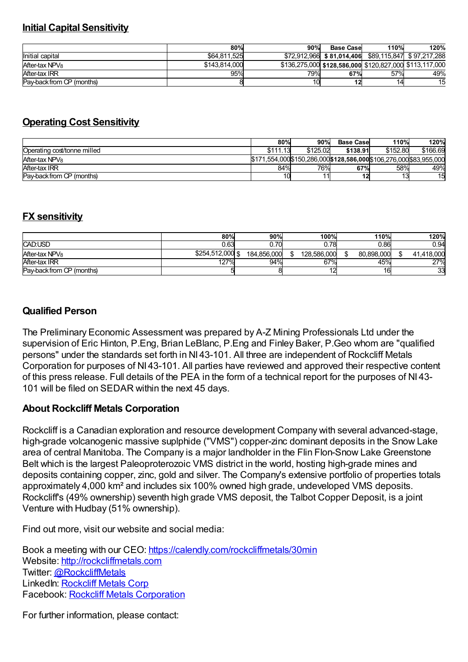#### **Initial Capital Sensitivity**

|                            | 80%           | 90%        | <b>Base Casel</b>         | 110% | 120%                                                    |
|----------------------------|---------------|------------|---------------------------|------|---------------------------------------------------------|
| Initial capital            | \$64.811.525  |            | \$72.912.966 \$81.014.406 |      | \$89,115,847 \$97,217,288                               |
| After-tax NPV <sub>8</sub> | \$143.814.000 |            |                           |      | \$136,275,000 \$128,586,000 \$120,827,000 \$113,117,000 |
| After-tax IRR              | 95%           | <b>79%</b> | 67%                       | 57%  | 49%                                                     |
| Pay-back from CP (months)  |               |            |                           | 14   | 15                                                      |

## **Operating Cost Sensitivity**

|                             | 80%                                                                  | 90%      | <b>Base Case</b> | 110%     | 120%     |
|-----------------------------|----------------------------------------------------------------------|----------|------------------|----------|----------|
| Operating cost/tonne milled | \$111.13                                                             | \$125.02 | \$138.91         | \$152.80 | \$166.69 |
| After-tax NPV <sub>8</sub>  | \$171.554,000 \$150,286,000 \$128,586,000 \$106,276,000 \$83,955,000 |          |                  |          |          |
| After-tax IRR               | 84%                                                                  | 76%      | 67%              | 58%      | 49%      |
| Pay-back from CP (months)   | 10                                                                   |          | 12               | 13       | 15       |

## **FX sensitivity**

|                            | 80%              | 90%         | 100%        | 110%       | 120%       |
|----------------------------|------------------|-------------|-------------|------------|------------|
| CAD:USD                    | 0.63             | 0.70        | 0.78        | 0.86       | 0.94       |
| After-tax NPV <sub>8</sub> | \$254.512.000 \$ | 184.856.000 | 128.586.000 | 80.898.000 | 41.418.000 |
| After-tax IRR              | 127%             | 94%         | 67%         | 45%        | 27%        |
| Pay-back from CP (months)  |                  |             |             | 16         | 33         |

## **Qualified Person**

The Preliminary Economic Assessment was prepared by A-Z Mining Professionals Ltd under the supervision of Eric Hinton, P.Eng, Brian LeBlanc, P.Eng and Finley Baker, P.Geo whom are "qualified persons" under the standards set forth in NI 43-101. All three are independent of Rockcliff Metals Corporation for purposes of NI 43-101. All parties have reviewed and approved their respective content of this press release. Full details of the PEA in the form of a technical report for the purposes of NI 43- 101 will be filed on SEDAR within the next 45 days.

## **About Rockcliff Metals Corporation**

Rockcliff is a Canadian exploration and resource development Company with several advanced-stage, high-grade volcanogenic massive suplphide ("VMS") copper-zinc dominant deposits in the Snow Lake area of central Manitoba. The Company is a major landholder in the Flin Flon-Snow Lake Greenstone Belt which is the largest Paleoproterozoic VMS district in the world, hosting high-grade mines and deposits containing copper, zinc, gold and silver. The Company's extensive portfolio of properties totals approximately 4,000 km² and includes six 100% owned high grade, undeveloped VMS deposits. Rockcliff's (49% ownership) seventh high grade VMS deposit, the Talbot Copper Deposit, is a joint Venture with Hudbay (51% ownership).

Find out more, visit our website and social media:

Book a meeting with our CEO: [https://calendly.com/rockcliffmetals/30min](https://www.newsfilecorp.com/redirect/w2KkMswEEL) Website: [http://rockcliffmetals.com](https://www.newsfilecorp.com/redirect/gx0XVCGZZw) Twitter: [@RockcliffMetals](https://www.newsfilecorp.com/redirect/JZ570ixVV2) LinkedIn: [Rockcliff](https://www.newsfilecorp.com/redirect/7ezE0UqV12) Metals Corp Facebook: Rockcliff Metals [Corporation](https://www.newsfilecorp.com/redirect/GOMgvtwBBR)

For further information, please contact: